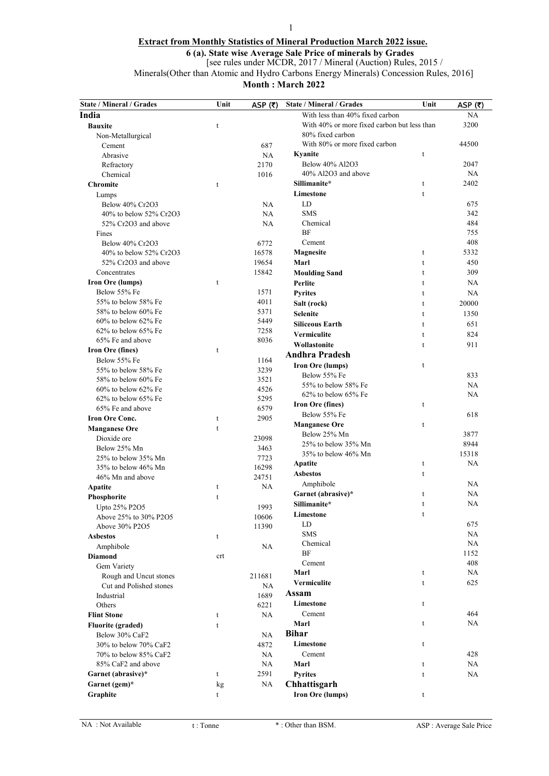# Extract from Monthly Statistics of Mineral Production March 2022 issue.

1

6 (a). State wise Average Sale Price of minerals by Grades

[see rules under MCDR, 2017 / Mineral (Auction) Rules, 2015 /

Minerals(Other than Atomic and Hydro Carbons Energy Minerals) Concession Rules, 2016]

Month : March 2022

| <b>State / Mineral / Grades</b> | Unit | ASP $(5)$ | <b>State / Mineral / Grades</b>             | Unit | ASP $(5)$ |
|---------------------------------|------|-----------|---------------------------------------------|------|-----------|
| India                           |      |           | With less than 40% fixed carbon             |      | NA        |
| <b>Bauxite</b>                  | t    |           | With 40% or more fixed carbon but less than |      | 3200      |
| Non-Metallurgical               |      |           | 80% fixed carbon                            |      |           |
| Cement                          |      | 687       | With 80% or more fixed carbon               |      | 44500     |
| Abrasive                        |      | <b>NA</b> | Kyanite                                     | t    |           |
| Refractory                      |      | 2170      | Below 40% Al2O3                             |      | 2047      |
| Chemical                        |      | 1016      | 40% Al2O3 and above                         |      | NA        |
| <b>Chromite</b>                 | t    |           | Sillimanite*                                | t    | 2402      |
| Lumps                           |      |           | Limestone                                   | t    |           |
| Below 40% Cr2O3                 |      | <b>NA</b> | LD                                          |      | 675       |
| 40% to below 52% Cr2O3          |      | NA        | <b>SMS</b>                                  |      | 342       |
| 52% Cr2O3 and above             |      | NA        | Chemical                                    |      | 484       |
| Fines                           |      |           | <b>BF</b>                                   |      | 755       |
| Below 40% Cr2O3                 |      | 6772      | Cement                                      |      | 408       |
| 40% to below 52% Cr2O3          |      | 16578     | <b>Magnesite</b>                            | t    | 5332      |
| 52% Cr2O3 and above             |      | 19654     | Marl                                        | t    | 450       |
| Concentrates                    |      | 15842     | <b>Moulding Sand</b>                        | t    | 309       |
| Iron Ore (lumps)                | t    |           | Perlite                                     | t    | NA        |
| Below 55% Fe                    |      | 1571      | <b>Pyrites</b>                              | t    | NA        |
| 55% to below 58% Fe             |      | 4011      | Salt (rock)                                 | t    | 20000     |
| 58% to below 60% Fe             |      | 5371      | Selenite                                    | t    | 1350      |
| $60\%$ to below $62\%$ Fe       |      | 5449      | <b>Siliceous Earth</b>                      | t    | 651       |
| $62\%$ to below $65\%$ Fe       |      | 7258      | Vermiculite                                 | t    | 824       |
| 65% Fe and above                |      | 8036      | Wollastonite                                | t    | 911       |
| <b>Iron Ore (fines)</b>         | t    |           | <b>Andhra Pradesh</b>                       |      |           |
| Below 55% Fe                    |      | 1164      | Iron Ore (lumps)                            | t    |           |
| 55% to below 58% Fe             |      | 3239      | Below 55% Fe                                |      | 833       |
| 58% to below 60% Fe             |      | 3521      | 55% to below 58% Fe                         |      | <b>NA</b> |
| $60\%$ to below $62\%$ Fe       |      | 4526      | 62% to below 65% Fe                         |      | <b>NA</b> |
| $62\%$ to below $65\%$ Fe       |      | 5295      | Iron Ore (fines)                            | t    |           |
| 65% Fe and above                |      | 6579      | Below 55% Fe                                |      | 618       |
| <b>Iron Ore Conc.</b>           | t    | 2905      | <b>Manganese Ore</b>                        | t    |           |
| <b>Manganese Ore</b>            | t    |           | Below 25% Mn                                |      | 3877      |
| Dioxide ore                     |      | 23098     | 25% to below 35% Mn                         |      | 8944      |
| Below 25% Mn                    |      | 3463      | 35% to below 46% Mn                         |      | 15318     |
| 25% to below 35% Mn             |      | 7723      | Apatite                                     | t    | <b>NA</b> |
| 35% to below 46% Mn             |      | 16298     | <b>Asbestos</b>                             | t    |           |
| 46% Mn and above                |      | 24751     | Amphibole                                   |      | NA        |
| Apatite                         | t    | NA        | Garnet (abrasive)*                          | t    | NA        |
| Phosphorite                     | t    |           | Sillimanite*                                | t    | <b>NA</b> |
| Upto 25% P2O5                   |      | 1993      |                                             |      |           |
| Above 25% to 30% P2O5           |      | 10606     | Limestone<br>LD                             | t    | 675       |
| Above 30% P2O5                  |      | 11390     | SMS                                         |      | NA        |
| <b>Asbestos</b>                 | t    |           | Chemical                                    |      | NA        |
| Amphibole                       |      | NA        | BF                                          |      | 1152      |
| <b>Diamond</b>                  | crt  |           | Cement                                      |      | 408       |
| Gem Variety                     |      |           | Marl                                        | t    | NA        |
| Rough and Uncut stones          |      | 211681    | Vermiculite                                 | t    | 625       |
| Cut and Polished stones         |      | NA        |                                             |      |           |
| Industrial                      |      | 1689      | Assam                                       |      |           |
| Others                          |      | 6221      | Limestone                                   | t    |           |
| <b>Flint Stone</b>              | t    | NA        | Cement                                      |      | 464       |
| <b>Fluorite (graded)</b>        | t    |           | Marl                                        | t    | NA        |
| Below 30% CaF2                  |      | <b>NA</b> | <b>Bihar</b>                                |      |           |
| 30% to below 70% CaF2           |      | 4872      | Limestone                                   | t    |           |
| 70% to below 85% CaF2           |      | <b>NA</b> | Cement                                      |      | 428       |
| 85% CaF2 and above              |      | NA        | Marl                                        | t    | NA        |
| Garnet (abrasive)*              | t    | 2591      | <b>Pyrites</b>                              | t    | NA        |
| Garnet (gem)*                   | kg   | NA        | Chhattisgarh                                |      |           |
| Graphite                        | t    |           | <b>Iron Ore (lumps)</b>                     | t    |           |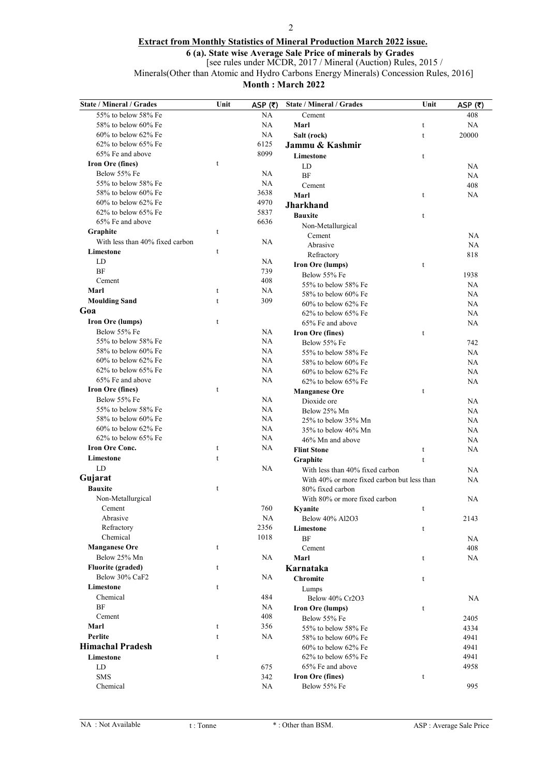### 2

# Extract from Monthly Statistics of Mineral Production March 2022 issue.

6 (a). State wise Average Sale Price of minerals by Grades

[see rules under MCDR, 2017 / Mineral (Auction) Rules, 2015 /

Minerals(Other than Atomic and Hydro Carbons Energy Minerals) Concession Rules, 2016]

Month : March 2022

| <b>State / Mineral / Grades</b> | Unit        | ASP $(5)$ | <b>State / Mineral / Grades</b>             | Unit         | ASP (₹)   |
|---------------------------------|-------------|-----------|---------------------------------------------|--------------|-----------|
| 55% to below 58% Fe             |             | NA        | Cement                                      |              | 408       |
| 58% to below 60% Fe             |             | <b>NA</b> | Marl                                        | t            | NA        |
| $60\%$ to below $62\%$ Fe       |             | <b>NA</b> | Salt (rock)                                 | $\mathbf t$  | 20000     |
| 62% to below 65% Fe             |             | 6125      | Jammu & Kashmir                             |              |           |
| 65% Fe and above                |             | 8099      | Limestone                                   | t            |           |
| Iron Ore (fines)                | t           |           | LD                                          |              | NA        |
| Below 55% Fe                    |             | <b>NA</b> | <b>BF</b>                                   |              | NA        |
| 55% to below 58% Fe             |             | <b>NA</b> | Cement                                      |              | 408       |
| 58% to below 60% Fe             |             | 3638      | Marl                                        | t            | NA        |
| 60% to below 62% Fe             |             | 4970      | <b>Jharkhand</b>                            |              |           |
| $62\%$ to below $65\%$ Fe       |             | 5837      | <b>Bauxite</b>                              | $\mathsf{t}$ |           |
| 65% Fe and above                |             | 6636      | Non-Metallurgical                           |              |           |
| Graphite                        | $\mathbf t$ |           | Cement                                      |              | NA        |
| With less than 40% fixed carbon |             | <b>NA</b> | Abrasive                                    |              | <b>NA</b> |
| Limestone                       | $\mathbf t$ |           | Refractory                                  |              | 818       |
| LD                              |             | <b>NA</b> | Iron Ore (lumps)                            | t            |           |
| <b>BF</b>                       |             | 739       | Below 55% Fe                                |              | 1938      |
| Cement                          |             | 408       | 55% to below 58% Fe                         |              | <b>NA</b> |
| Marl                            | t           | <b>NA</b> | 58% to below 60% Fe                         |              | <b>NA</b> |
| <b>Moulding Sand</b>            | $\mathbf t$ | 309       | $60\%$ to below $62\%$ Fe                   |              | NA        |
| Goa                             |             |           | $62\%$ to below $65\%$ Fe                   |              | <b>NA</b> |
| Iron Ore (lumps)                | t           |           | 65% Fe and above                            |              | NA        |
| Below 55% Fe                    |             | <b>NA</b> | Iron Ore (fines)                            | t            |           |
| 55% to below 58% Fe             |             | NA        | Below 55% Fe                                |              | 742       |
| 58% to below 60% Fe             |             | <b>NA</b> | 55% to below 58% Fe                         |              | NA        |
| 60% to below 62% Fe             |             | NA        | 58% to below 60% Fe                         |              | NA        |
| $62\%$ to below $65\%$ Fe       |             | NA        | $60\%$ to below $62\%$ Fe                   |              | NA        |
| 65% Fe and above                |             | NA        | 62% to below 65% Fe                         |              | NA        |
| Iron Ore (fines)                | $\mathbf t$ |           | <b>Manganese Ore</b>                        | t            |           |
| Below 55% Fe                    |             | <b>NA</b> | Dioxide ore                                 |              | NA        |
| 55% to below 58% Fe             |             | <b>NA</b> | Below 25% Mn                                |              | NA        |
| 58% to below 60% Fe             |             | NA        | 25% to below 35% Mn                         |              | NA        |
| 60% to below 62% Fe             |             | <b>NA</b> | 35% to below 46% Mn                         |              | <b>NA</b> |
| $62\%$ to below $65\%$ Fe       |             | NA        | 46% Mn and above                            |              | NA        |
| <b>Iron Ore Conc.</b>           | t           | NA        | <b>Flint Stone</b>                          | t            | NA        |
| Limestone                       | $\mathbf t$ |           | Graphite                                    | t            |           |
| LD                              |             | NA        | With less than 40% fixed carbon             |              | NA        |
| Gujarat                         |             |           | With 40% or more fixed carbon but less than |              | NA        |
| <b>Bauxite</b>                  | t           |           | 80% fixed carbon                            |              |           |
| Non-Metallurgical               |             |           | With 80% or more fixed carbon               |              | <b>NA</b> |
| Cement                          |             | 760       | Kyanite                                     | t            |           |
| Abrasive                        |             | NA        | Below 40% Al2O3                             |              | 2143      |
| Refractory                      |             | 2356      | Limestone                                   | t            |           |
| Chemical                        |             | 1018      | <b>BF</b>                                   |              | NA        |
| <b>Manganese Ore</b>            | t           |           | Cement                                      |              | 408       |
| Below 25% Mn                    |             | <b>NA</b> | Marl                                        | t            | NA        |
| <b>Fluorite (graded)</b>        | t           |           | Karnataka                                   |              |           |
| Below 30% CaF2                  |             | NA        | <b>Chromite</b>                             | t            |           |
| Limestone                       | t           |           | Lumps                                       |              |           |
| Chemical                        |             | 484       | Below 40% Cr2O3                             |              | NA        |
| <b>BF</b>                       |             | NA        | <b>Iron Ore (lumps)</b>                     | t            |           |
| Cement                          |             | 408       | Below 55% Fe                                |              | 2405      |
| Marl                            | t           | 356       | 55% to below 58% Fe                         |              | 4334      |
| Perlite                         | t           | NA.       | 58% to below 60% Fe                         |              | 4941      |
| <b>Himachal Pradesh</b>         |             |           | $60\%$ to below $62\%$ Fe                   |              | 4941      |
| Limestone                       | t           |           | 62% to below 65% Fe                         |              | 4941      |
| LD                              |             | 675       | 65% Fe and above                            |              | 4958      |
| <b>SMS</b>                      |             | 342       | Iron Ore (fines)                            | t            |           |
| Chemical                        |             | NA.       | Below 55% Fe                                |              | 995       |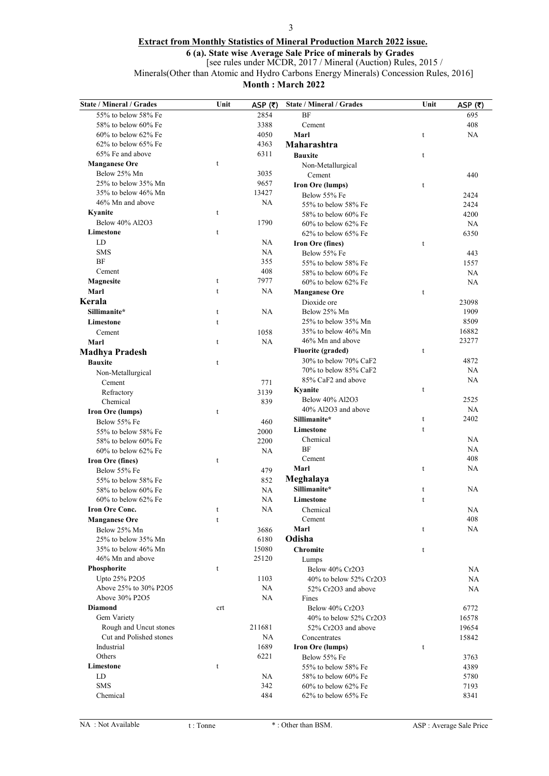### 3

# Extract from Monthly Statistics of Mineral Production March 2022 issue.

6 (a). State wise Average Sale Price of minerals by Grades

[see rules under MCDR, 2017 / Mineral (Auction) Rules, 2015 /

Minerals(Other than Atomic and Hydro Carbons Energy Minerals) Concession Rules, 2016]

Month : March 2022

| State / Mineral / Grades            | Unit         | ASP $(\bar{\tau})$ | <b>State / Mineral / Grades</b>           | Unit        | ASP $(5)$ |
|-------------------------------------|--------------|--------------------|-------------------------------------------|-------------|-----------|
| 55% to below 58% Fe                 |              | 2854               | BF                                        |             | 695       |
| 58% to below 60% Fe                 |              | 3388               | Cement                                    |             | 408       |
| $60\%$ to below $62\%$ Fe           |              | 4050               | Marl                                      | t           | NA        |
| $62\%$ to below $65\%$ Fe           |              | 4363               | Maharashtra                               |             |           |
| 65% Fe and above                    |              | 6311               | <b>Bauxite</b>                            | t           |           |
| <b>Manganese Ore</b>                | t            |                    | Non-Metallurgical                         |             |           |
| Below 25% Mn                        |              | 3035               | Cement                                    |             | 440       |
| 25% to below 35% Mn                 |              | 9657               | Iron Ore (lumps)                          | t           |           |
| 35% to below 46% Mn                 |              | 13427              | Below 55% Fe                              |             | 2424      |
| 46% Mn and above                    |              | <b>NA</b>          | 55% to below 58% Fe                       |             | 2424      |
| Kyanite                             | t            |                    | 58% to below 60% Fe                       |             | 4200      |
| Below 40% Al2O3                     |              | 1790               | $60\%$ to below $62\%$ Fe                 |             | NA        |
| Limestone                           | $\mathbf t$  |                    | 62% to below 65% Fe                       |             | 6350      |
| LD                                  |              | <b>NA</b>          | Iron Ore (fines)                          | t           |           |
| <b>SMS</b>                          |              | <b>NA</b>          | Below 55% Fe                              |             | 443       |
| BF                                  |              | 355                | 55% to below 58% Fe                       |             | 1557      |
| Cement                              |              | 408                | 58% to below 60% Fe                       |             | <b>NA</b> |
| <b>Magnesite</b>                    | t            | 7977               | 60% to below 62% Fe                       |             | <b>NA</b> |
| Marl                                | $\mathbf t$  | <b>NA</b>          | <b>Manganese Ore</b>                      | t           |           |
| Kerala                              |              |                    | Dioxide ore                               |             | 23098     |
| Sillimanite*                        | $\mathsf{t}$ | NA                 | Below 25% Mn                              |             | 1909      |
| Limestone                           | $\mathbf t$  |                    | 25% to below 35% Mn                       |             | 8509      |
| Cement                              |              | 1058               | 35% to below 46% Mn                       |             | 16882     |
| Marl                                | t            | <b>NA</b>          | 46% Mn and above                          |             | 23277     |
| <b>Madhya Pradesh</b>               |              |                    | <b>Fluorite (graded)</b>                  | t           |           |
| <b>Bauxite</b>                      | $\mathbf t$  |                    | 30% to below 70% CaF2                     |             | 4872      |
| Non-Metallurgical                   |              |                    | 70% to below 85% CaF2                     |             | NA        |
| Cement                              |              | 771                | 85% CaF2 and above                        |             | <b>NA</b> |
| Refractory                          |              | 3139               | Kyanite                                   | t           |           |
| Chemical                            |              | 839                | Below 40% Al2O3                           |             | 2525      |
| <b>Iron Ore (lumps)</b>             | $\mathsf t$  |                    | 40% Al2O3 and above                       |             | <b>NA</b> |
| Below 55% Fe                        |              | 460                | Sillimanite*                              | t           | 2402      |
| 55% to below 58% Fe                 |              | 2000               | Limestone                                 | $\mathsf t$ |           |
| 58% to below 60% Fe                 |              | 2200               | Chemical                                  |             | <b>NA</b> |
| $60\%$ to below $62\%$ Fe           |              | <b>NA</b>          | <b>BF</b>                                 |             | <b>NA</b> |
| <b>Iron Ore (fines)</b>             | $\mathbf t$  |                    | Cement                                    |             | 408<br>NA |
| Below 55% Fe                        |              | 479                | Marl                                      | t           |           |
| 55% to below 58% Fe                 |              | 852                | Meghalaya<br>Sillimanite*                 |             |           |
| 58% to below 60% Fe                 |              | NA                 |                                           | t           | NA        |
| $60\%$ to below $62\%$ Fe           |              | <b>NA</b>          | Limestone                                 | t           |           |
| <b>Iron Ore Conc.</b>               | t            | <b>NA</b>          | Chemical                                  |             | NA        |
| <b>Manganese Ore</b>                | t            |                    | Cement                                    |             | 408<br>NA |
| Below 25% Mn<br>25% to below 35% Mn |              | 3686               | Marl<br>Odisha                            | t           |           |
| 35% to below 46% Mn                 |              | 6180<br>15080      |                                           |             |           |
| 46% Mn and above                    |              | 25120              | <b>Chromite</b>                           | t           |           |
| Phosphorite                         | t            |                    | Lumps                                     |             |           |
| Upto 25% P2O5                       |              | 1103               | Below 40% Cr2O3<br>40% to below 52% Cr2O3 |             | NA<br>NA  |
| Above 25% to 30% P2O5               |              | NA                 | 52% Cr2O3 and above                       |             | NA        |
| Above 30% P2O5                      |              | <b>NA</b>          | Fines                                     |             |           |
| <b>Diamond</b>                      | crt          |                    | Below 40% Cr2O3                           |             | 6772      |
| Gem Variety                         |              |                    | 40% to below 52% Cr2O3                    |             | 16578     |
| Rough and Uncut stones              |              | 211681             | 52% Cr2O3 and above                       |             | 19654     |
| Cut and Polished stones             |              | NA                 | Concentrates                              |             | 15842     |
| Industrial                          |              | 1689               | Iron Ore (lumps)                          | t           |           |
| Others                              |              | 6221               | Below 55% Fe                              |             | 3763      |
| Limestone                           | t            |                    | 55% to below 58% Fe                       |             | 4389      |
| LD                                  |              | <b>NA</b>          | 58% to below 60% Fe                       |             | 5780      |
| <b>SMS</b>                          |              | 342                | $60\%$ to below $62\%$ Fe                 |             | 7193      |
| Chemical                            |              | 484                | $62\%$ to below $65\%$ Fe                 |             | 8341      |
|                                     |              |                    |                                           |             |           |